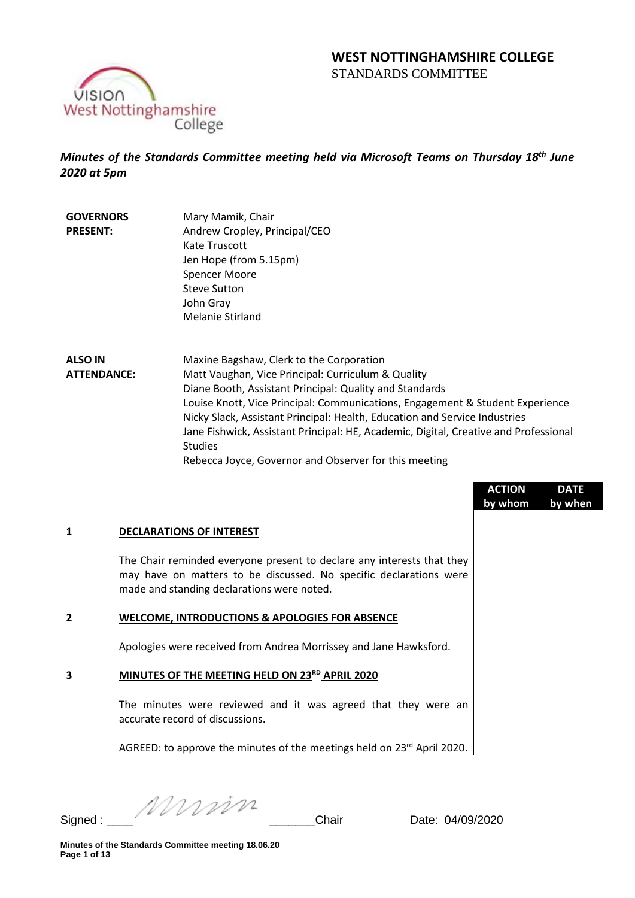# **WEST NOTTINGHAMSHIRE COLLEGE**  STANDARDS COMMITTEE



*Minutes of the Standards Committee meeting held via Microsoft Teams on Thursday 18th June 2020 at 5pm*

**GOVERNORS PRESENT:** Mary Mamik, Chair Andrew Cropley, Principal/CEO Kate Truscott Jen Hope (from 5.15pm) Spencer Moore Steve Sutton John Gray Melanie Stirland

**ALSO IN ATTENDANCE:** Maxine Bagshaw, Clerk to the Corporation Matt Vaughan, Vice Principal: Curriculum & Quality Diane Booth, Assistant Principal: Quality and Standards Louise Knott, Vice Principal: Communications, Engagement & Student Experience Nicky Slack, Assistant Principal: Health, Education and Service Industries Jane Fishwick, Assistant Principal: HE, Academic, Digital, Creative and Professional Studies Rebecca Joyce, Governor and Observer for this meeting

|         |                                                                                                                                                                                            | <b>ACTION</b><br>by whom | <b>DATE</b><br>by when |
|---------|--------------------------------------------------------------------------------------------------------------------------------------------------------------------------------------------|--------------------------|------------------------|
| 1       | <b>DECLARATIONS OF INTEREST</b>                                                                                                                                                            |                          |                        |
|         | The Chair reminded everyone present to declare any interests that they<br>may have on matters to be discussed. No specific declarations were<br>made and standing declarations were noted. |                          |                        |
| 2       | <b>WELCOME, INTRODUCTIONS &amp; APOLOGIES FOR ABSENCE</b>                                                                                                                                  |                          |                        |
|         | Apologies were received from Andrea Morrissey and Jane Hawksford.                                                                                                                          |                          |                        |
| 3       | MINUTES OF THE MEETING HELD ON 23RD APRIL 2020                                                                                                                                             |                          |                        |
|         | The minutes were reviewed and it was agreed that they were an<br>accurate record of discussions.                                                                                           |                          |                        |
|         | AGREED: to approve the minutes of the meetings held on 23 <sup>rd</sup> April 2020.                                                                                                        |                          |                        |
| Signed: | Mumm<br>Chair<br>Date: 04/09/2020                                                                                                                                                          |                          |                        |

**Minutes of the Standards Committee meeting 18.06.20 Page 1 of 13**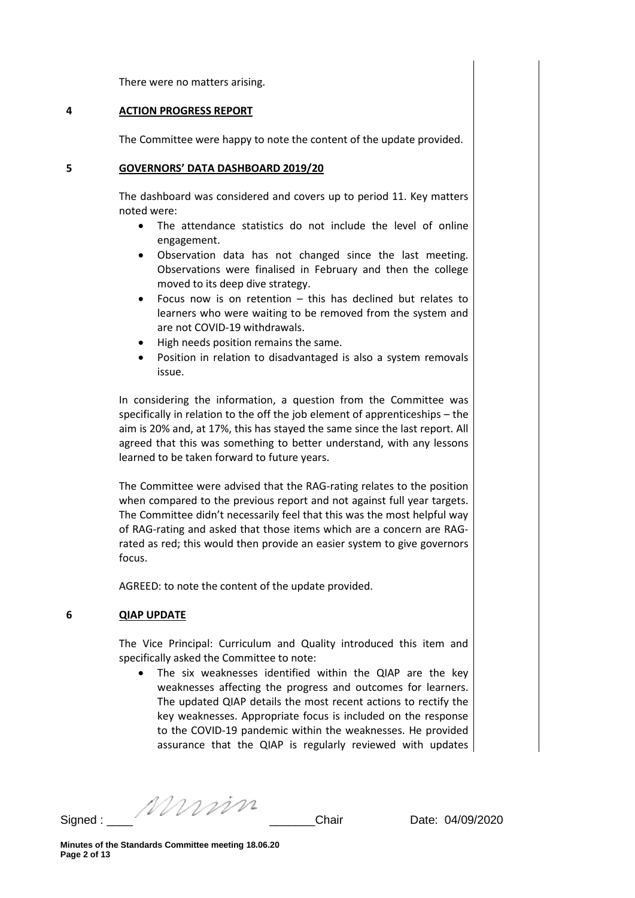There were no matters arising.

#### **4 ACTION PROGRESS REPORT**

The Committee were happy to note the content of the update provided.

#### **5 GOVERNORS' DATA DASHBOARD 2019/20**

The dashboard was considered and covers up to period 11. Key matters noted were:

- The attendance statistics do not include the level of online engagement.
- Observation data has not changed since the last meeting. Observations were finalised in February and then the college moved to its deep dive strategy.
- Focus now is on retention  $-$  this has declined but relates to learners who were waiting to be removed from the system and are not COVID-19 withdrawals.
- High needs position remains the same.
- Position in relation to disadvantaged is also a system removals issue.

In considering the information, a question from the Committee was specifically in relation to the off the job element of apprenticeships – the aim is 20% and, at 17%, this has stayed the same since the last report. All agreed that this was something to better understand, with any lessons learned to be taken forward to future years.

The Committee were advised that the RAG-rating relates to the position when compared to the previous report and not against full year targets. The Committee didn't necessarily feel that this was the most helpful way of RAG-rating and asked that those items which are a concern are RAGrated as red; this would then provide an easier system to give governors focus.

AGREED: to note the content of the update provided.

## **6 QIAP UPDATE**

The Vice Principal: Curriculum and Quality introduced this item and specifically asked the Committee to note:

• The six weaknesses identified within the QIAP are the key weaknesses affecting the progress and outcomes for learners. The updated QIAP details the most recent actions to rectify the key weaknesses. Appropriate focus is included on the response to the COVID-19 pandemic within the weaknesses. He provided assurance that the QIAP is regularly reviewed with updates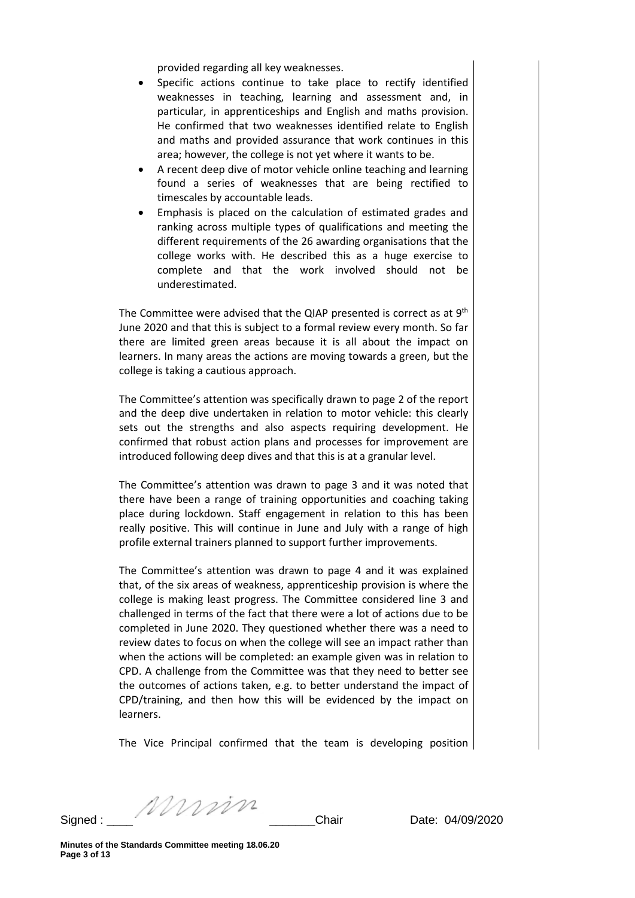provided regarding all key weaknesses.

- Specific actions continue to take place to rectify identified weaknesses in teaching, learning and assessment and, in particular, in apprenticeships and English and maths provision. He confirmed that two weaknesses identified relate to English and maths and provided assurance that work continues in this area; however, the college is not yet where it wants to be.
- A recent deep dive of motor vehicle online teaching and learning found a series of weaknesses that are being rectified to timescales by accountable leads.
- Emphasis is placed on the calculation of estimated grades and ranking across multiple types of qualifications and meeting the different requirements of the 26 awarding organisations that the college works with. He described this as a huge exercise to complete and that the work involved should not be underestimated.

The Committee were advised that the QIAP presented is correct as at  $9<sup>th</sup>$ June 2020 and that this is subject to a formal review every month. So far there are limited green areas because it is all about the impact on learners. In many areas the actions are moving towards a green, but the college is taking a cautious approach.

The Committee's attention was specifically drawn to page 2 of the report and the deep dive undertaken in relation to motor vehicle: this clearly sets out the strengths and also aspects requiring development. He confirmed that robust action plans and processes for improvement are introduced following deep dives and that this is at a granular level.

The Committee's attention was drawn to page 3 and it was noted that there have been a range of training opportunities and coaching taking place during lockdown. Staff engagement in relation to this has been really positive. This will continue in June and July with a range of high profile external trainers planned to support further improvements.

The Committee's attention was drawn to page 4 and it was explained that, of the six areas of weakness, apprenticeship provision is where the college is making least progress. The Committee considered line 3 and challenged in terms of the fact that there were a lot of actions due to be completed in June 2020. They questioned whether there was a need to review dates to focus on when the college will see an impact rather than when the actions will be completed: an example given was in relation to CPD. A challenge from the Committee was that they need to better see the outcomes of actions taken, e.g. to better understand the impact of CPD/training, and then how this will be evidenced by the impact on learners.

The Vice Principal confirmed that the team is developing position

Signed : \_\_\_\_ \_\_\_\_\_\_\_Chair Date: 04/09/2020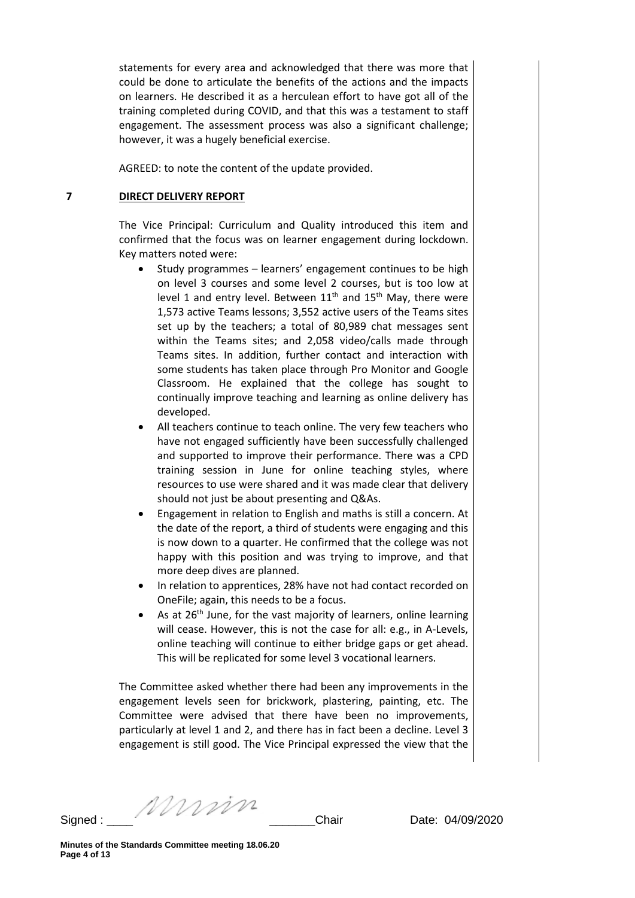statements for every area and acknowledged that there was more that could be done to articulate the benefits of the actions and the impacts on learners. He described it as a herculean effort to have got all of the training completed during COVID, and that this was a testament to staff engagement. The assessment process was also a significant challenge; however, it was a hugely beneficial exercise.

AGREED: to note the content of the update provided.

## **7 DIRECT DELIVERY REPORT**

The Vice Principal: Curriculum and Quality introduced this item and confirmed that the focus was on learner engagement during lockdown. Key matters noted were:

- Study programmes learners' engagement continues to be high on level 3 courses and some level 2 courses, but is too low at level 1 and entry level. Between  $11<sup>th</sup>$  and  $15<sup>th</sup>$  May, there were 1,573 active Teams lessons; 3,552 active users of the Teams sites set up by the teachers; a total of 80,989 chat messages sent within the Teams sites; and 2,058 video/calls made through Teams sites. In addition, further contact and interaction with some students has taken place through Pro Monitor and Google Classroom. He explained that the college has sought to continually improve teaching and learning as online delivery has developed.
- All teachers continue to teach online. The very few teachers who have not engaged sufficiently have been successfully challenged and supported to improve their performance. There was a CPD training session in June for online teaching styles, where resources to use were shared and it was made clear that delivery should not just be about presenting and Q&As.
- Engagement in relation to English and maths is still a concern. At the date of the report, a third of students were engaging and this is now down to a quarter. He confirmed that the college was not happy with this position and was trying to improve, and that more deep dives are planned.
- In relation to apprentices, 28% have not had contact recorded on OneFile; again, this needs to be a focus.
- As at 26<sup>th</sup> June, for the vast majority of learners, online learning will cease. However, this is not the case for all: e.g., in A-Levels, online teaching will continue to either bridge gaps or get ahead. This will be replicated for some level 3 vocational learners.

The Committee asked whether there had been any improvements in the engagement levels seen for brickwork, plastering, painting, etc. The Committee were advised that there have been no improvements, particularly at level 1 and 2, and there has in fact been a decline. Level 3 engagement is still good. The Vice Principal expressed the view that the

Signed : \_\_\_\_ \_\_\_\_\_\_\_Chair Date: 04/09/2020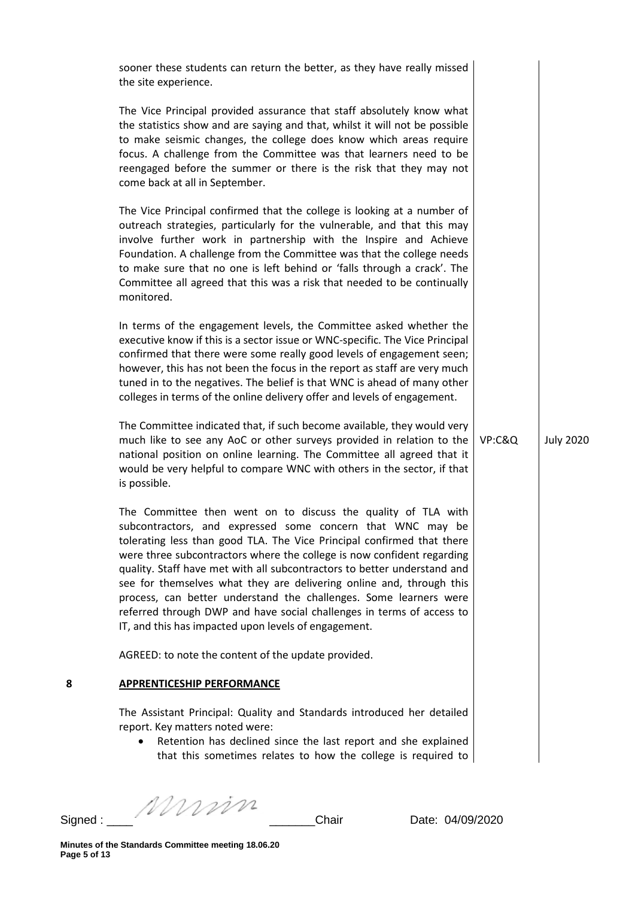|         | sooner these students can return the better, as they have really missed<br>the site experience.                                                                                                                                                                                                                                                                                                                                                                                                                                                                                                                                           |        |                  |
|---------|-------------------------------------------------------------------------------------------------------------------------------------------------------------------------------------------------------------------------------------------------------------------------------------------------------------------------------------------------------------------------------------------------------------------------------------------------------------------------------------------------------------------------------------------------------------------------------------------------------------------------------------------|--------|------------------|
|         | The Vice Principal provided assurance that staff absolutely know what<br>the statistics show and are saying and that, whilst it will not be possible<br>to make seismic changes, the college does know which areas require<br>focus. A challenge from the Committee was that learners need to be<br>reengaged before the summer or there is the risk that they may not<br>come back at all in September.                                                                                                                                                                                                                                  |        |                  |
|         | The Vice Principal confirmed that the college is looking at a number of<br>outreach strategies, particularly for the vulnerable, and that this may<br>involve further work in partnership with the Inspire and Achieve<br>Foundation. A challenge from the Committee was that the college needs<br>to make sure that no one is left behind or 'falls through a crack'. The<br>Committee all agreed that this was a risk that needed to be continually<br>monitored.                                                                                                                                                                       |        |                  |
|         | In terms of the engagement levels, the Committee asked whether the<br>executive know if this is a sector issue or WNC-specific. The Vice Principal<br>confirmed that there were some really good levels of engagement seen;<br>however, this has not been the focus in the report as staff are very much<br>tuned in to the negatives. The belief is that WNC is ahead of many other<br>colleges in terms of the online delivery offer and levels of engagement.                                                                                                                                                                          |        |                  |
|         | The Committee indicated that, if such become available, they would very<br>much like to see any AoC or other surveys provided in relation to the<br>national position on online learning. The Committee all agreed that it<br>would be very helpful to compare WNC with others in the sector, if that<br>is possible.                                                                                                                                                                                                                                                                                                                     | VP:C&Q | <b>July 2020</b> |
|         | The Committee then went on to discuss the quality of TLA with<br>subcontractors, and expressed some concern that WNC may be<br>tolerating less than good TLA. The Vice Principal confirmed that there<br>were three subcontractors where the college is now confident regarding<br>quality. Staff have met with all subcontractors to better understand and<br>see for themselves what they are delivering online and, through this<br>process, can better understand the challenges. Some learners were<br>referred through DWP and have social challenges in terms of access to<br>IT, and this has impacted upon levels of engagement. |        |                  |
|         | AGREED: to note the content of the update provided.                                                                                                                                                                                                                                                                                                                                                                                                                                                                                                                                                                                       |        |                  |
| 8       | <b>APPRENTICESHIP PERFORMANCE</b>                                                                                                                                                                                                                                                                                                                                                                                                                                                                                                                                                                                                         |        |                  |
|         | The Assistant Principal: Quality and Standards introduced her detailed<br>report. Key matters noted were:<br>Retention has declined since the last report and she explained<br>that this sometimes relates to how the college is required to                                                                                                                                                                                                                                                                                                                                                                                              |        |                  |
| Signed: | Murin<br>Chair<br>Date: 04/09/2020                                                                                                                                                                                                                                                                                                                                                                                                                                                                                                                                                                                                        |        |                  |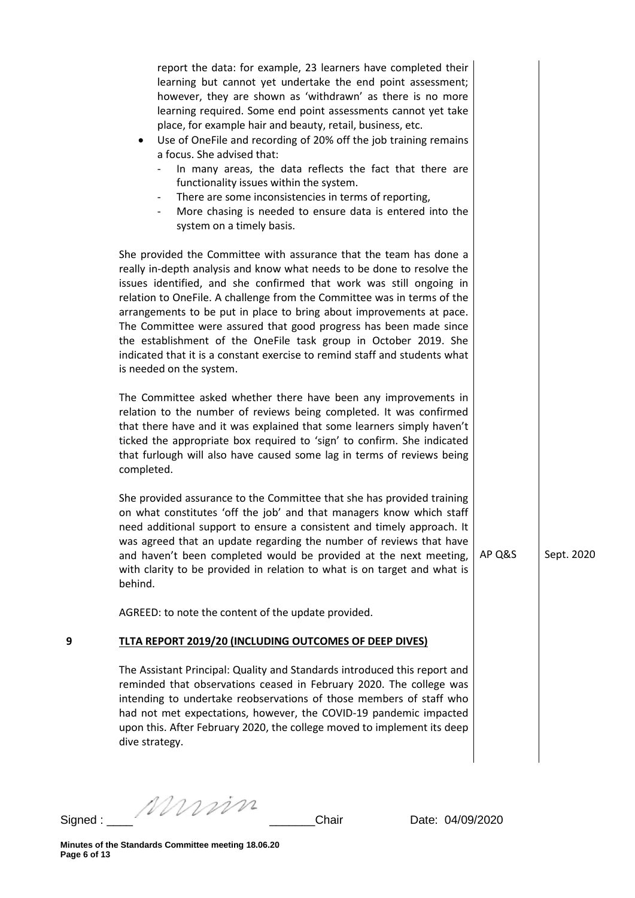|   | report the data: for example, 23 learners have completed their<br>learning but cannot yet undertake the end point assessment;<br>however, they are shown as 'withdrawn' as there is no more<br>learning required. Some end point assessments cannot yet take<br>place, for example hair and beauty, retail, business, etc.<br>Use of OneFile and recording of 20% off the job training remains<br>٠<br>a focus. She advised that:<br>In many areas, the data reflects the fact that there are<br>functionality issues within the system.<br>There are some inconsistencies in terms of reporting,<br>More chasing is needed to ensure data is entered into the<br>system on a timely basis. |        |            |  |
|---|---------------------------------------------------------------------------------------------------------------------------------------------------------------------------------------------------------------------------------------------------------------------------------------------------------------------------------------------------------------------------------------------------------------------------------------------------------------------------------------------------------------------------------------------------------------------------------------------------------------------------------------------------------------------------------------------|--------|------------|--|
|   | She provided the Committee with assurance that the team has done a<br>really in-depth analysis and know what needs to be done to resolve the<br>issues identified, and she confirmed that work was still ongoing in<br>relation to OneFile. A challenge from the Committee was in terms of the<br>arrangements to be put in place to bring about improvements at pace.<br>The Committee were assured that good progress has been made since<br>the establishment of the OneFile task group in October 2019. She<br>indicated that it is a constant exercise to remind staff and students what<br>is needed on the system.                                                                   |        |            |  |
|   | The Committee asked whether there have been any improvements in<br>relation to the number of reviews being completed. It was confirmed<br>that there have and it was explained that some learners simply haven't<br>ticked the appropriate box required to 'sign' to confirm. She indicated<br>that furlough will also have caused some lag in terms of reviews being<br>completed.                                                                                                                                                                                                                                                                                                         |        |            |  |
|   | She provided assurance to the Committee that she has provided training<br>on what constitutes 'off the job' and that managers know which staff<br>need additional support to ensure a consistent and timely approach. It<br>was agreed that an update regarding the number of reviews that have<br>and haven't been completed would be provided at the next meeting,<br>with clarity to be provided in relation to what is on target and what is<br>behind.                                                                                                                                                                                                                                 | AP Q&S | Sept. 2020 |  |
|   | AGREED: to note the content of the update provided.                                                                                                                                                                                                                                                                                                                                                                                                                                                                                                                                                                                                                                         |        |            |  |
| 9 | TLTA REPORT 2019/20 (INCLUDING OUTCOMES OF DEEP DIVES)                                                                                                                                                                                                                                                                                                                                                                                                                                                                                                                                                                                                                                      |        |            |  |
|   | The Assistant Principal: Quality and Standards introduced this report and<br>reminded that observations ceased in February 2020. The college was<br>intending to undertake reobservations of those members of staff who<br>had not met expectations, however, the COVID-19 pandemic impacted<br>upon this. After February 2020, the college moved to implement its deep<br>dive strategy.                                                                                                                                                                                                                                                                                                   |        |            |  |
|   |                                                                                                                                                                                                                                                                                                                                                                                                                                                                                                                                                                                                                                                                                             |        |            |  |

Signed : \_\_\_\_ \_\_\_\_\_\_\_Chair Date: 04/09/2020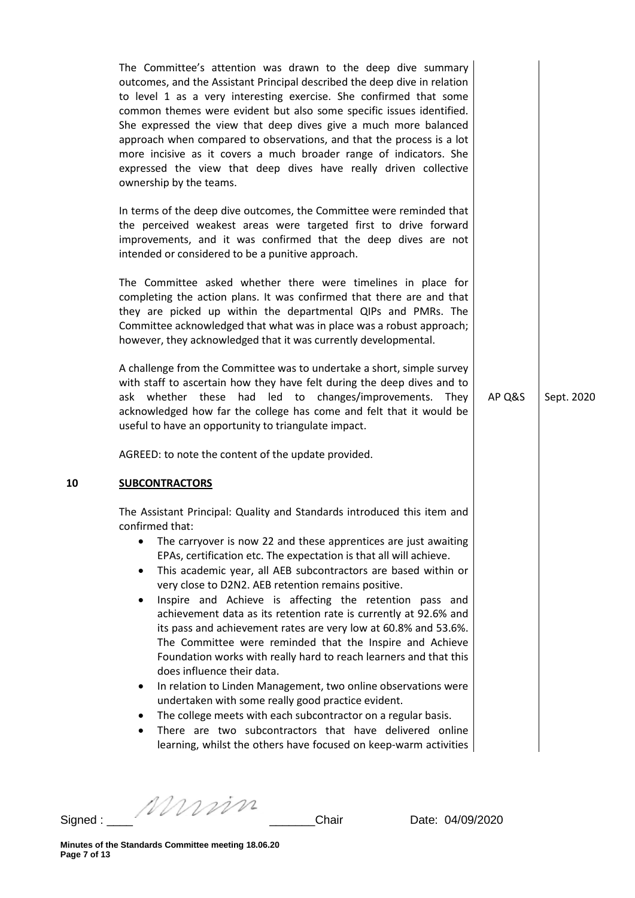|    | The Committee's attention was drawn to the deep dive summary<br>outcomes, and the Assistant Principal described the deep dive in relation<br>to level 1 as a very interesting exercise. She confirmed that some<br>common themes were evident but also some specific issues identified.<br>She expressed the view that deep dives give a much more balanced<br>approach when compared to observations, and that the process is a lot<br>more incisive as it covers a much broader range of indicators. She<br>expressed the view that deep dives have really driven collective<br>ownership by the teams.<br>In terms of the deep dive outcomes, the Committee were reminded that<br>the perceived weakest areas were targeted first to drive forward<br>improvements, and it was confirmed that the deep dives are not<br>intended or considered to be a punitive approach.<br>The Committee asked whether there were timelines in place for<br>completing the action plans. It was confirmed that there are and that<br>they are picked up within the departmental QIPs and PMRs. The<br>Committee acknowledged that what was in place was a robust approach;<br>however, they acknowledged that it was currently developmental.<br>A challenge from the Committee was to undertake a short, simple survey<br>with staff to ascertain how they have felt during the deep dives and to<br>ask whether these had led to changes/improvements. They<br>acknowledged how far the college has come and felt that it would be<br>useful to have an opportunity to triangulate impact.<br>AGREED: to note the content of the update provided. | AP Q&S | Sept. 2020 |
|----|------------------------------------------------------------------------------------------------------------------------------------------------------------------------------------------------------------------------------------------------------------------------------------------------------------------------------------------------------------------------------------------------------------------------------------------------------------------------------------------------------------------------------------------------------------------------------------------------------------------------------------------------------------------------------------------------------------------------------------------------------------------------------------------------------------------------------------------------------------------------------------------------------------------------------------------------------------------------------------------------------------------------------------------------------------------------------------------------------------------------------------------------------------------------------------------------------------------------------------------------------------------------------------------------------------------------------------------------------------------------------------------------------------------------------------------------------------------------------------------------------------------------------------------------------------------------------------------------------------------------------------------|--------|------------|
| 10 | <b>SUBCONTRACTORS</b><br>The Assistant Principal: Quality and Standards introduced this item and<br>confirmed that:<br>The carryover is now 22 and these apprentices are just awaiting<br>EPAs, certification etc. The expectation is that all will achieve.<br>This academic year, all AEB subcontractors are based within or<br>٠<br>very close to D2N2. AEB retention remains positive.<br>Inspire and Achieve is affecting the retention pass and<br>٠<br>achievement data as its retention rate is currently at 92.6% and<br>its pass and achievement rates are very low at 60.8% and 53.6%.<br>The Committee were reminded that the Inspire and Achieve<br>Foundation works with really hard to reach learners and that this<br>does influence their data.<br>In relation to Linden Management, two online observations were<br>٠<br>undertaken with some really good practice evident.<br>The college meets with each subcontractor on a regular basis.<br>٠<br>There are two subcontractors that have delivered online<br>learning, whilst the others have focused on keep-warm activities                                                                                                                                                                                                                                                                                                                                                                                                                                                                                                                                       |        |            |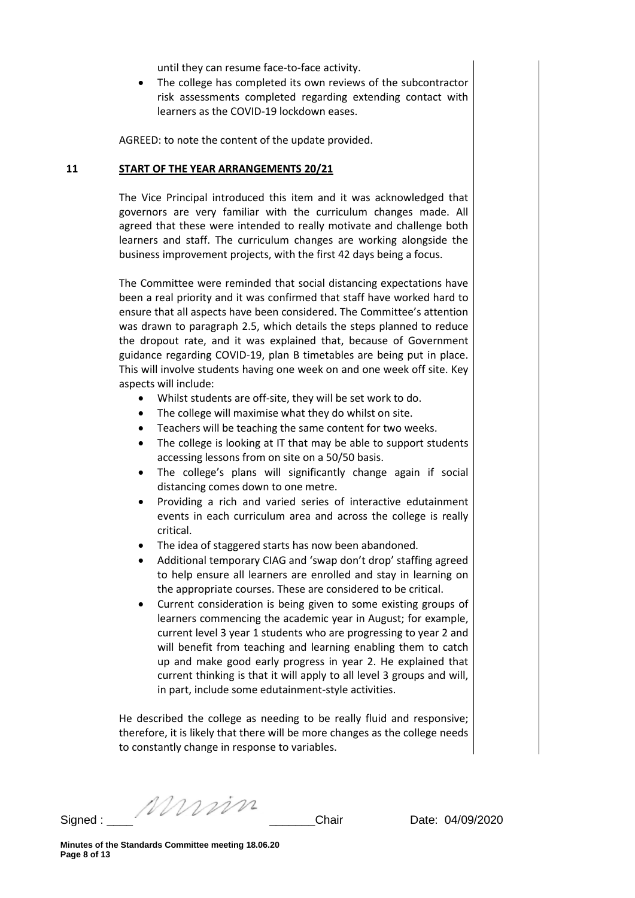until they can resume face-to-face activity.

• The college has completed its own reviews of the subcontractor risk assessments completed regarding extending contact with learners as the COVID-19 lockdown eases.

AGREED: to note the content of the update provided.

### **11 START OF THE YEAR ARRANGEMENTS 20/21**

The Vice Principal introduced this item and it was acknowledged that governors are very familiar with the curriculum changes made. All agreed that these were intended to really motivate and challenge both learners and staff. The curriculum changes are working alongside the business improvement projects, with the first 42 days being a focus.

The Committee were reminded that social distancing expectations have been a real priority and it was confirmed that staff have worked hard to ensure that all aspects have been considered. The Committee's attention was drawn to paragraph 2.5, which details the steps planned to reduce the dropout rate, and it was explained that, because of Government guidance regarding COVID-19, plan B timetables are being put in place. This will involve students having one week on and one week off site. Key aspects will include:

- Whilst students are off-site, they will be set work to do.
- The college will maximise what they do whilst on site.
- Teachers will be teaching the same content for two weeks.
- The college is looking at IT that may be able to support students accessing lessons from on site on a 50/50 basis.
- The college's plans will significantly change again if social distancing comes down to one metre.
- Providing a rich and varied series of interactive edutainment events in each curriculum area and across the college is really critical.
- The idea of staggered starts has now been abandoned.
- Additional temporary CIAG and 'swap don't drop' staffing agreed to help ensure all learners are enrolled and stay in learning on the appropriate courses. These are considered to be critical.
- Current consideration is being given to some existing groups of learners commencing the academic year in August; for example, current level 3 year 1 students who are progressing to year 2 and will benefit from teaching and learning enabling them to catch up and make good early progress in year 2. He explained that current thinking is that it will apply to all level 3 groups and will, in part, include some edutainment-style activities.

He described the college as needing to be really fluid and responsive; therefore, it is likely that there will be more changes as the college needs to constantly change in response to variables.

Signed : \_\_\_\_ \_\_\_\_\_\_\_Chair Date: 04/09/2020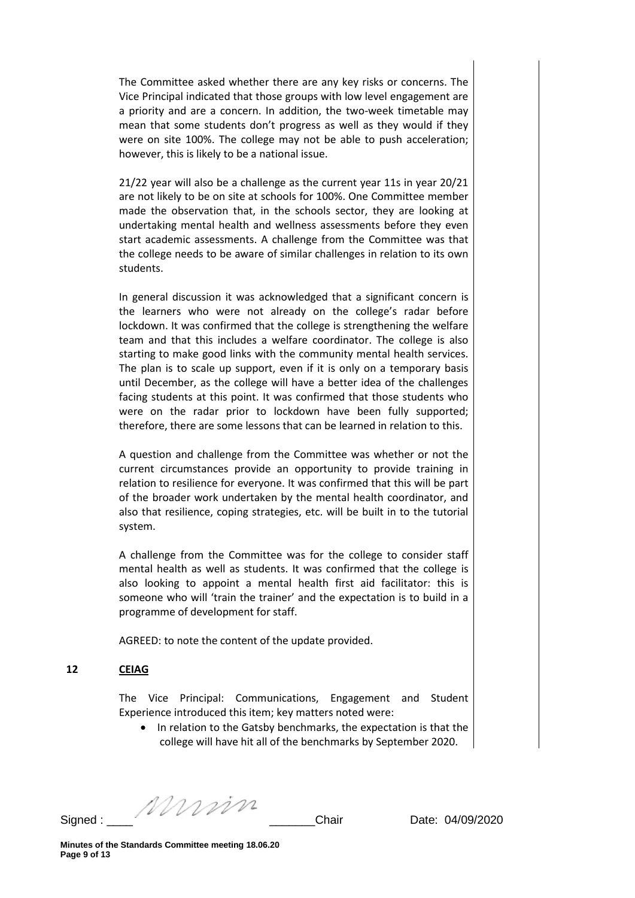The Committee asked whether there are any key risks or concerns. The Vice Principal indicated that those groups with low level engagement are a priority and are a concern. In addition, the two-week timetable may mean that some students don't progress as well as they would if they were on site 100%. The college may not be able to push acceleration; however, this is likely to be a national issue.

21/22 year will also be a challenge as the current year 11s in year 20/21 are not likely to be on site at schools for 100%. One Committee member made the observation that, in the schools sector, they are looking at undertaking mental health and wellness assessments before they even start academic assessments. A challenge from the Committee was that the college needs to be aware of similar challenges in relation to its own students.

In general discussion it was acknowledged that a significant concern is the learners who were not already on the college's radar before lockdown. It was confirmed that the college is strengthening the welfare team and that this includes a welfare coordinator. The college is also starting to make good links with the community mental health services. The plan is to scale up support, even if it is only on a temporary basis until December, as the college will have a better idea of the challenges facing students at this point. It was confirmed that those students who were on the radar prior to lockdown have been fully supported; therefore, there are some lessons that can be learned in relation to this.

A question and challenge from the Committee was whether or not the current circumstances provide an opportunity to provide training in relation to resilience for everyone. It was confirmed that this will be part of the broader work undertaken by the mental health coordinator, and also that resilience, coping strategies, etc. will be built in to the tutorial system.

A challenge from the Committee was for the college to consider staff mental health as well as students. It was confirmed that the college is also looking to appoint a mental health first aid facilitator: this is someone who will 'train the trainer' and the expectation is to build in a programme of development for staff.

AGREED: to note the content of the update provided.

## **12 CEIAG**

The Vice Principal: Communications, Engagement and Student Experience introduced this item; key matters noted were:

• In relation to the Gatsby benchmarks, the expectation is that the college will have hit all of the benchmarks by September 2020.

Signed : \_\_\_\_ \_\_\_\_\_\_\_Chair Date: 04/09/2020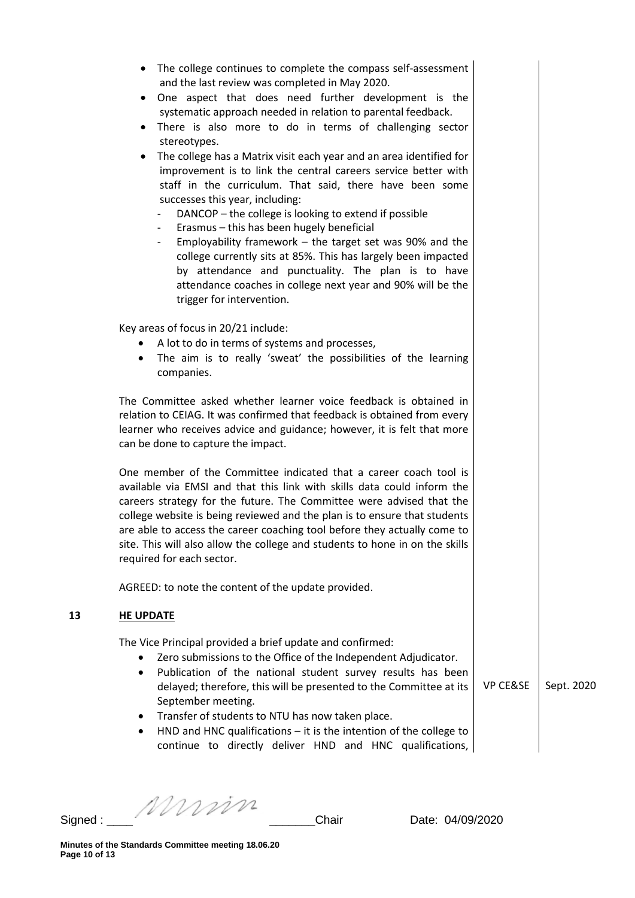| ٠                | The college continues to complete the compass self-assessment<br>and the last review was completed in May 2020.<br>One aspect that does need further development is the<br>systematic approach needed in relation to parental feedback.<br>There is also more to do in terms of challenging sector<br>stereotypes.<br>The college has a Matrix visit each year and an area identified for<br>improvement is to link the central careers service better with<br>staff in the curriculum. That said, there have been some<br>successes this year, including:<br>DANCOP - the college is looking to extend if possible<br>Erasmus - this has been hugely beneficial<br>Employability framework $-$ the target set was 90% and the<br>$\overline{\phantom{0}}$<br>college currently sits at 85%. This has largely been impacted<br>by attendance and punctuality. The plan is to have<br>attendance coaches in college next year and 90% will be the<br>trigger for intervention. |                     |            |
|------------------|-------------------------------------------------------------------------------------------------------------------------------------------------------------------------------------------------------------------------------------------------------------------------------------------------------------------------------------------------------------------------------------------------------------------------------------------------------------------------------------------------------------------------------------------------------------------------------------------------------------------------------------------------------------------------------------------------------------------------------------------------------------------------------------------------------------------------------------------------------------------------------------------------------------------------------------------------------------------------------|---------------------|------------|
|                  | Key areas of focus in 20/21 include:<br>A lot to do in terms of systems and processes,<br>The aim is to really 'sweat' the possibilities of the learning<br>companies.                                                                                                                                                                                                                                                                                                                                                                                                                                                                                                                                                                                                                                                                                                                                                                                                        |                     |            |
|                  | The Committee asked whether learner voice feedback is obtained in<br>relation to CEIAG. It was confirmed that feedback is obtained from every<br>learner who receives advice and guidance; however, it is felt that more<br>can be done to capture the impact.                                                                                                                                                                                                                                                                                                                                                                                                                                                                                                                                                                                                                                                                                                                |                     |            |
|                  | One member of the Committee indicated that a career coach tool is<br>available via EMSI and that this link with skills data could inform the<br>careers strategy for the future. The Committee were advised that the<br>college website is being reviewed and the plan is to ensure that students<br>are able to access the career coaching tool before they actually come to<br>site. This will also allow the college and students to hone in on the skills<br>required for each sector.                                                                                                                                                                                                                                                                                                                                                                                                                                                                                    |                     |            |
|                  | AGREED: to note the content of the update provided.                                                                                                                                                                                                                                                                                                                                                                                                                                                                                                                                                                                                                                                                                                                                                                                                                                                                                                                           |                     |            |
| <b>HE UPDATE</b> |                                                                                                                                                                                                                                                                                                                                                                                                                                                                                                                                                                                                                                                                                                                                                                                                                                                                                                                                                                               |                     |            |
| $\bullet$        | The Vice Principal provided a brief update and confirmed:<br>Zero submissions to the Office of the Independent Adjudicator.<br>Publication of the national student survey results has been<br>delayed; therefore, this will be presented to the Committee at its<br>September meeting.<br>Transfer of students to NTU has now taken place.<br>HND and HNC qualifications $-$ it is the intention of the college to                                                                                                                                                                                                                                                                                                                                                                                                                                                                                                                                                            | <b>VP CE&amp;SE</b> | Sept. 2020 |

Signed : \_\_\_\_ \_\_\_\_\_\_\_Chair Date: 04/09/2020

**13**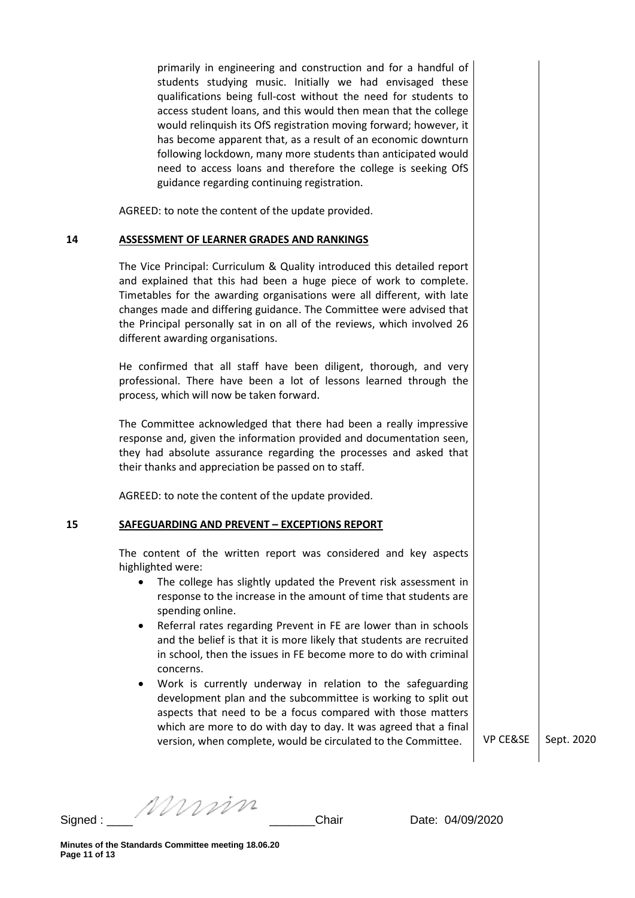primarily in engineering and construction and for a handful of students studying music. Initially we had envisaged these qualifications being full-cost without the need for students to access student loans, and this would then mean that the college would relinquish its OfS registration moving forward; however, it has become apparent that, as a result of an economic downturn following lockdown, many more students than anticipated would need to access loans and therefore the college is seeking OfS guidance regarding continuing registration.

AGREED: to note the content of the update provided.

#### **14 ASSESSMENT OF LEARNER GRADES AND RANKINGS**

The Vice Principal: Curriculum & Quality introduced this detailed report and explained that this had been a huge piece of work to complete. Timetables for the awarding organisations were all different, with late changes made and differing guidance. The Committee were advised that the Principal personally sat in on all of the reviews, which involved 26 different awarding organisations.

He confirmed that all staff have been diligent, thorough, and very professional. There have been a lot of lessons learned through the process, which will now be taken forward.

The Committee acknowledged that there had been a really impressive response and, given the information provided and documentation seen, they had absolute assurance regarding the processes and asked that their thanks and appreciation be passed on to staff.

AGREED: to note the content of the update provided.

#### **15 SAFEGUARDING AND PREVENT – EXCEPTIONS REPORT**

The content of the written report was considered and key aspects highlighted were:

- The college has slightly updated the Prevent risk assessment in response to the increase in the amount of time that students are spending online.
- Referral rates regarding Prevent in FE are lower than in schools and the belief is that it is more likely that students are recruited in school, then the issues in FE become more to do with criminal concerns.
- Work is currently underway in relation to the safeguarding development plan and the subcommittee is working to split out aspects that need to be a focus compared with those matters which are more to do with day to day. It was agreed that a final version, when complete, would be circulated to the Committee.  $\vert$  VP CE&SE  $\vert$  Sept. 2020

Signed : \_\_\_\_ \_\_\_\_\_\_\_Chair Date: 04/09/2020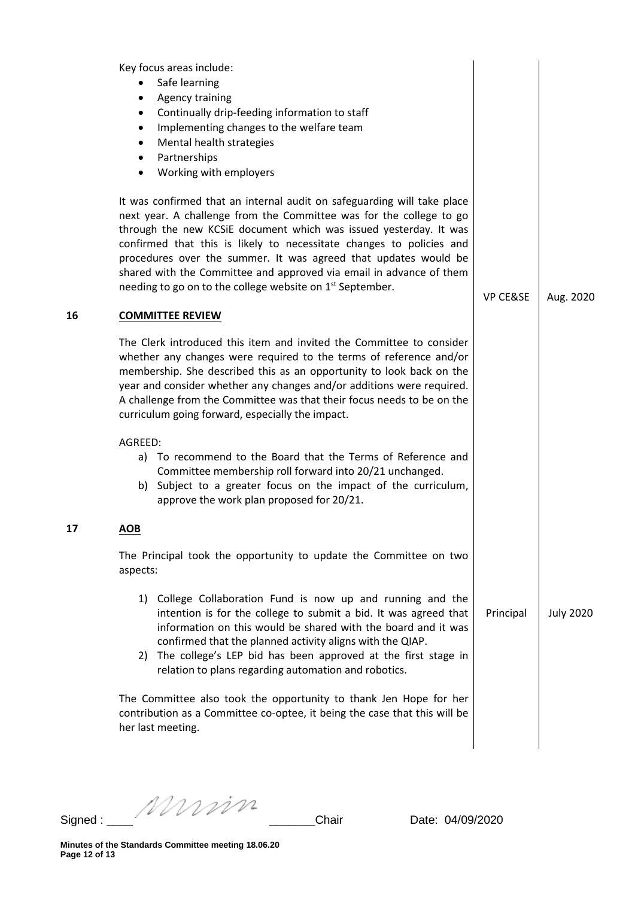| 16 | Key focus areas include:<br>Safe learning<br><b>Agency training</b><br>Continually drip-feeding information to staff<br>٠<br>Implementing changes to the welfare team<br>٠<br>Mental health strategies<br>٠<br>Partnerships<br>Working with employers<br>٠<br>It was confirmed that an internal audit on safeguarding will take place<br>next year. A challenge from the Committee was for the college to go<br>through the new KCSiE document which was issued yesterday. It was<br>confirmed that this is likely to necessitate changes to policies and<br>procedures over the summer. It was agreed that updates would be<br>shared with the Committee and approved via email in advance of them<br>needing to go on to the college website on 1 <sup>st</sup> September.<br><b>COMMITTEE REVIEW</b><br>The Clerk introduced this item and invited the Committee to consider<br>whether any changes were required to the terms of reference and/or | <b>VP CE&amp;SE</b> | Aug. 2020        |
|----|-------------------------------------------------------------------------------------------------------------------------------------------------------------------------------------------------------------------------------------------------------------------------------------------------------------------------------------------------------------------------------------------------------------------------------------------------------------------------------------------------------------------------------------------------------------------------------------------------------------------------------------------------------------------------------------------------------------------------------------------------------------------------------------------------------------------------------------------------------------------------------------------------------------------------------------------------------|---------------------|------------------|
|    | membership. She described this as an opportunity to look back on the<br>year and consider whether any changes and/or additions were required.<br>A challenge from the Committee was that their focus needs to be on the<br>curriculum going forward, especially the impact.                                                                                                                                                                                                                                                                                                                                                                                                                                                                                                                                                                                                                                                                           |                     |                  |
|    | AGREED:<br>a) To recommend to the Board that the Terms of Reference and<br>Committee membership roll forward into 20/21 unchanged.<br>b) Subject to a greater focus on the impact of the curriculum,<br>approve the work plan proposed for 20/21.                                                                                                                                                                                                                                                                                                                                                                                                                                                                                                                                                                                                                                                                                                     |                     |                  |
| 17 | <u>AOB</u>                                                                                                                                                                                                                                                                                                                                                                                                                                                                                                                                                                                                                                                                                                                                                                                                                                                                                                                                            |                     |                  |
|    | The Principal took the opportunity to update the Committee on two<br>aspects:                                                                                                                                                                                                                                                                                                                                                                                                                                                                                                                                                                                                                                                                                                                                                                                                                                                                         |                     |                  |
|    | 1) College Collaboration Fund is now up and running and the<br>intention is for the college to submit a bid. It was agreed that<br>information on this would be shared with the board and it was<br>confirmed that the planned activity aligns with the QIAP.<br>2) The college's LEP bid has been approved at the first stage in<br>relation to plans regarding automation and robotics.                                                                                                                                                                                                                                                                                                                                                                                                                                                                                                                                                             | Principal           | <b>July 2020</b> |
|    | The Committee also took the opportunity to thank Jen Hope for her<br>contribution as a Committee co-optee, it being the case that this will be<br>her last meeting.                                                                                                                                                                                                                                                                                                                                                                                                                                                                                                                                                                                                                                                                                                                                                                                   |                     |                  |

Signed : \_\_\_\_ \_\_\_\_\_\_\_Chair Date: 04/09/2020